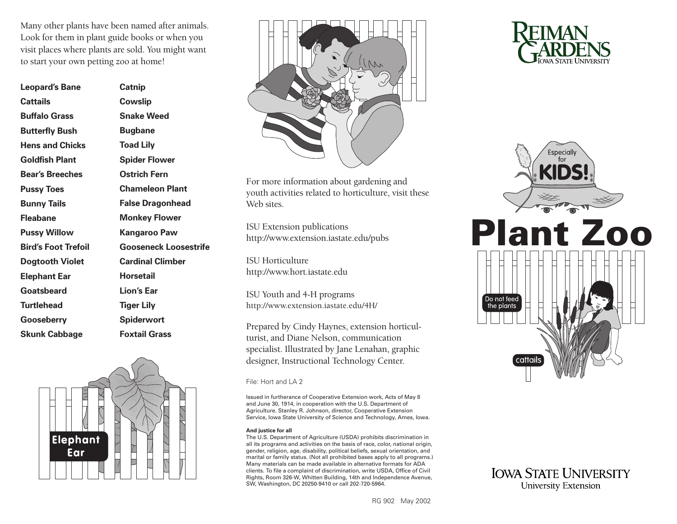Many other plants have been named after animals. Look for them in plant guide books or when you visit places where plants are sold. You might want to start your own petting zoo at home!

| <b>Leopard's Bane</b>      | <b>Catnip</b>                |
|----------------------------|------------------------------|
| Cattails                   | Cowslip                      |
| <b>Buffalo Grass</b>       | <b>Snake Weed</b>            |
| <b>Butterfly Bush</b>      | <b>Bugbane</b>               |
| <b>Hens and Chicks</b>     | <b>Toad Lily</b>             |
| <b>Goldfish Plant</b>      | <b>Spider Flower</b>         |
| <b>Bear's Breeches</b>     | Ostrich Fern                 |
| <b>Pussy Toes</b>          | <b>Chameleon Plant</b>       |
| <b>Bunny Tails</b>         | <b>False Dragonhead</b>      |
| <b>Fleabane</b>            | <b>Monkey Flower</b>         |
| <b>Pussy Willow</b>        | Kangaroo Paw                 |
| <b>Bird's Foot Trefoil</b> | <b>Gooseneck Loosestrife</b> |
| <b>Dogtooth Violet</b>     | <b>Cardinal Climber</b>      |
| <b>Elephant Ear</b>        | <b>Horsetail</b>             |
| Goatsbeard                 | <b>Lion's Ear</b>            |
| <b>Turtlehead</b>          | <b>Tiger Lily</b>            |
| <b>Gooseberry</b>          | <b>Spiderwort</b>            |
| <b>Skunk Cabbage</b>       | <b>Foxtail Grass</b>         |





For more information about gardening and youth activities related to horticulture, visit these Web sites.

ISU Extension publications [http://www.extension.iastate.edu/pubs](https://store.extension.iastate.edu/) 

ISU Horticulture <http://www.hort.iastate.edu>

ISU Youth and 4-H programs [http://www.extension.iastate.edu/4H/](http://www.extension.iastate.edu/4H)

Prepared by Cindy Haynes, extension horticulturist, and Diane Nelson, communication specialist. Illustrated by Jane Lenahan, graphic designer, Instructional Technology Center.

#### File: Hort and LA 2

Issued in furtherance of Cooperative Extension work, Acts of May 8 and June 30, 1914, in cooperation with the U.S. Department of Agriculture. Stanley R. Johnson, director, Cooperative Extension Service, Iowa State University of Science and Technology, Ames, Iowa.

#### **And justice for all**

The U.S. Department of Agriculture (USDA) prohibits discrimination in all its programs and activities on the basis of race, color, national origin, gender, religion, age, disability, political beliefs, sexual orientation, and marital or family status. (Not all prohibited bases apply to all programs.) Many materials can be made available in alternative formats for ADA clients. To file a complaint of discrimination, write USDA, Office of Civil Rights, Room 326-W, Whitten Building, 14th and Independence Avenue, SW, Washington, DC 20250-9410 or call 202-720-5964.